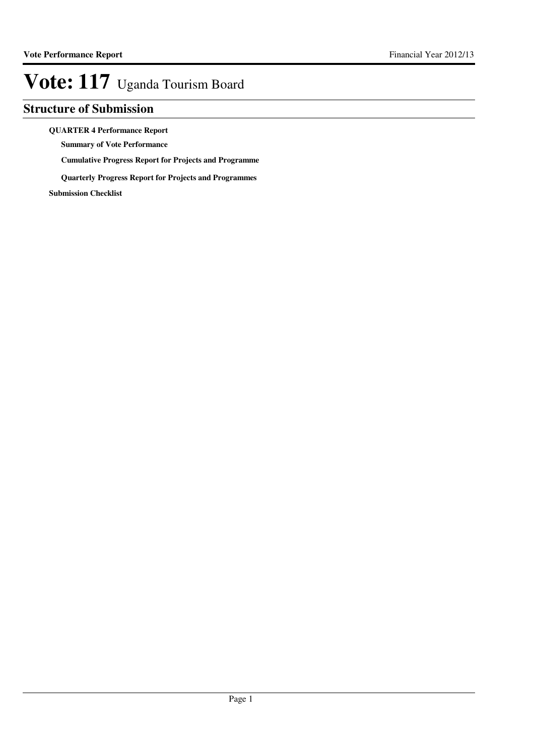### **Structure of Submission**

#### **QUARTER 4 Performance Report**

**Summary of Vote Performance**

**Cumulative Progress Report for Projects and Programme**

**Quarterly Progress Report for Projects and Programmes**

**Submission Checklist**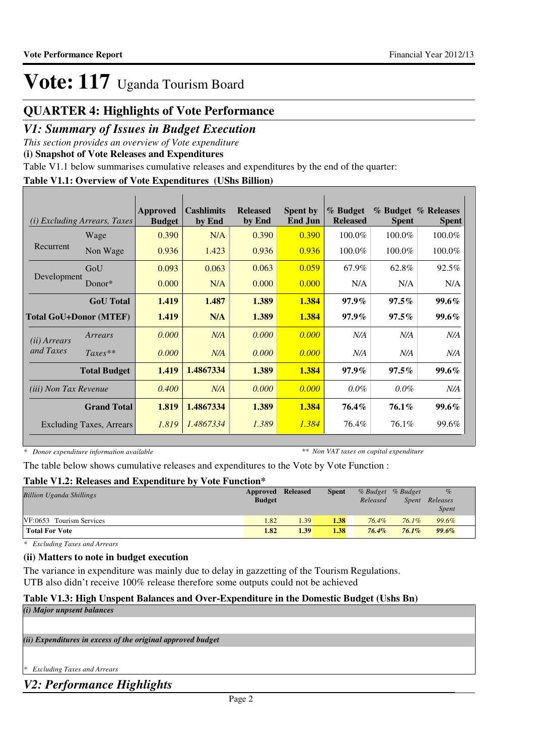## **QUARTER 4: Highlights of Vote Performance**

## *V1: Summary of Issues in Budget Execution*

*This section provides an overview of Vote expenditure* 

**(i) Snapshot of Vote Releases and Expenditures**

Table V1.1 below summarises cumulative releases and expenditures by the end of the quarter:

### **Table V1.1: Overview of Vote Expenditures (UShs Billion)**

| (i)                          | <i>Excluding Arrears, Taxes</i> | Approved<br><b>Budget</b> | <b>Cashlimits</b><br>by End | <b>Released</b><br>by End | <b>Spent by</b><br>End Jun | % Budget<br><b>Released</b> | <b>Spent</b> | % Budget % Releases<br><b>Spent</b> |
|------------------------------|---------------------------------|---------------------------|-----------------------------|---------------------------|----------------------------|-----------------------------|--------------|-------------------------------------|
|                              | Wage                            | 0.390                     | N/A                         | 0.390                     | 0.390                      | 100.0%                      | 100.0%       | 100.0%                              |
| Recurrent                    | Non Wage                        | 0.936                     | 1.423                       | 0.936                     | 0.936                      | 100.0%                      | 100.0%       | 100.0%                              |
|                              | GoU                             | 0.093                     | 0.063                       | 0.063                     | 0.059                      | 67.9%                       | 62.8%        | 92.5%                               |
| Development                  | Donor $*$                       | 0.000                     | N/A                         | 0.000                     | 0.000                      | N/A                         | N/A          | N/A                                 |
|                              | <b>GoU</b> Total                | 1.419                     | 1.487                       | 1.389                     | 1.384                      | $97.9\%$                    | $97.5\%$     | $99.6\%$                            |
|                              | <b>Total GoU+Donor (MTEF)</b>   | 1.419                     | N/A                         | 1.389                     | 1.384                      | 97.9%                       | $97.5\%$     | 99.6%                               |
| ( <i>ii</i> ) Arrears        | Arrears                         | 0.000                     | N/A                         | 0.000                     | 0.000                      | N/A                         | N/A          | N/A                                 |
| and Taxes                    | $Taxes**$                       | 0.000                     | N/A                         | 0.000                     | 0.000                      | N/A                         | N/A          | N/A                                 |
|                              | <b>Total Budget</b>             | 1.419                     | 1.4867334                   | 1.389                     | 1.384                      | $97.9\%$                    | $97.5\%$     | $99.6\%$                            |
| <i>(iii)</i> Non Tax Revenue |                                 | 0.400                     | N/A                         | 0.000                     | 0.000                      | $0.0\%$                     | $0.0\%$      | N/A                                 |
|                              | <b>Grand Total</b>              | 1.819                     | 1.4867334                   | 1.389                     | 1.384                      | 76.4%                       | 76.1%        | $99.6\%$                            |
|                              | Excluding Taxes, Arrears        | 1.819                     | 1.4867334                   | 1.389                     | 1.384                      | 76.4%                       | 76.1%        | 99.6%                               |

*\* Donor expenditure information available*

*\*\* Non VAT taxes on capital expenditure*

The table below shows cumulative releases and expenditures to the Vote by Vote Function :

### **Table V1.2: Releases and Expenditure by Vote Function\***

| <b>Billion Uganda Shillings</b> | Approved Released<br><b>Budget</b> |      | <b>Spent</b> | Released | % Budget % Budget<br>Spent | $\%$<br>Releases<br><i>Spent</i> |
|---------------------------------|------------------------------------|------|--------------|----------|----------------------------|----------------------------------|
| VF:0653 Tourism Services        | 1.82                               | 1.39 | 1.38         | 76.4%    | $76.1\%$                   | 99.6%                            |
| <b>Total For Vote</b>           | 1.82                               | 1.39 | 1.38         | 76.4%    | $76.1\%$                   | 99.6%                            |

*\* Excluding Taxes and Arrears*

### **(ii) Matters to note in budget execution**

The variance in expenditure was mainly due to delay in gazzetting of the Tourism Regulations. UTB also didn't receive 100% release therefore some outputs could not be achieved

### **Table V1.3: High Unspent Balances and Over-Expenditure in the Domestic Budget (Ushs Bn)**

| (i) Major unpsent balances                                  |  |
|-------------------------------------------------------------|--|
|                                                             |  |
| (ii) Expenditures in excess of the original approved budget |  |
|                                                             |  |

*\* Excluding Taxes and Arrears*

*V2: Performance Highlights*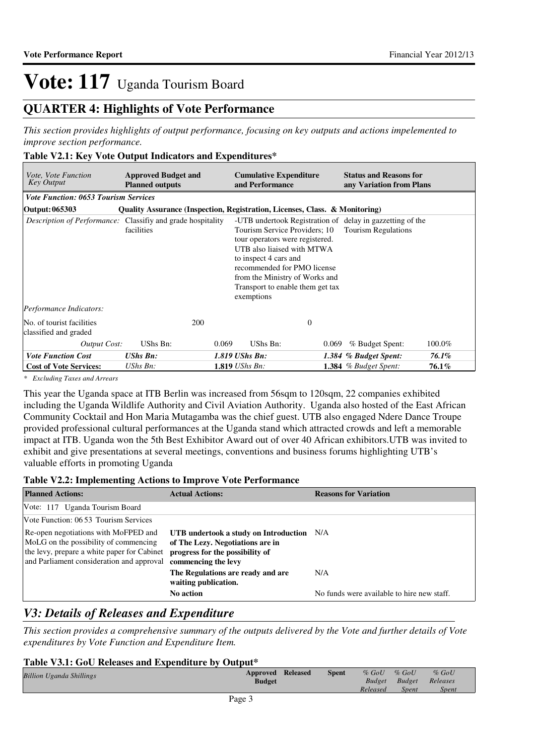## **QUARTER 4: Highlights of Vote Performance**

*This section provides highlights of output performance, focusing on key outputs and actions impelemented to improve section performance.*

### **Table V2.1: Key Vote Output Indicators and Expenditures\***

| <i>Vote, Vote Function</i><br><b>Key Output</b>                    | <b>Approved Budget and</b><br><b>Planned outputs</b>                        |       | <b>Cumulative Expenditure</b><br>and Performance                                                                                                                                                                                                                                                                                      |       | <b>Status and Reasons for</b><br>any Variation from Plans |        |
|--------------------------------------------------------------------|-----------------------------------------------------------------------------|-------|---------------------------------------------------------------------------------------------------------------------------------------------------------------------------------------------------------------------------------------------------------------------------------------------------------------------------------------|-------|-----------------------------------------------------------|--------|
| <b>Vote Function: 0653 Tourism Services</b>                        |                                                                             |       |                                                                                                                                                                                                                                                                                                                                       |       |                                                           |        |
| Output: 065303                                                     | Quality Assurance (Inspection, Registration, Licenses, Class. & Monitoring) |       |                                                                                                                                                                                                                                                                                                                                       |       |                                                           |        |
| <i>Description of Performance:</i> Classifiy and grade hospitality | facilities                                                                  |       | -UTB undertook Registration of delay in gazzetting of the<br><b>Tourism Regulations</b><br>Tourism Service Providers; 10<br>tour operators were registered.<br>UTB also liaised with MTWA<br>to inspect 4 cars and<br>recommended for PMO license<br>from the Ministry of Works and<br>Transport to enable them get tax<br>exemptions |       |                                                           |        |
| Performance Indicators:                                            |                                                                             |       |                                                                                                                                                                                                                                                                                                                                       |       |                                                           |        |
| No. of tourist facilities<br>classified and graded                 | 200                                                                         |       | $\mathbf{0}$                                                                                                                                                                                                                                                                                                                          |       |                                                           |        |
| Output Cost:                                                       | UShs Bn:                                                                    | 0.069 | UShs Bn:                                                                                                                                                                                                                                                                                                                              | 0.069 | % Budget Spent:                                           | 100.0% |
| <b>Vote Function Cost</b>                                          | <b>UShs Bn:</b>                                                             |       | 1.819 UShs Bn:                                                                                                                                                                                                                                                                                                                        |       | 1.384 % Budget Spent:                                     | 76.1%  |
| <b>Cost of Vote Services:</b>                                      | UShs Bn:                                                                    |       | $1.819$ UShs Bn:                                                                                                                                                                                                                                                                                                                      |       | 1.384 $%$ Budget Spent:                                   | 76.1%  |

*\* Excluding Taxes and Arrears*

This year the Uganda space at ITB Berlin was increased from 56sqm to 120sqm, 22 companies exhibited including the Uganda Wildlife Authority and Civil Aviation Authority. Uganda also hosted of the East African Community Cocktail and Hon Maria Mutagamba was the chief guest. UTB also engaged Ndere Dance Troupe provided professional cultural performances at the Uganda stand which attracted crowds and left a memorable impact at ITB. Uganda won the 5th Best Exhibitor Award out of over 40 African exhibitors.UTB was invited to exhibit and give presentations at several meetings, conventions and business forums highlighting UTB's valuable efforts in promoting Uganda

#### **Table V2.2: Implementing Actions to Improve Vote Performance**

| <b>Planned Actions:</b>                                                                                                                                                   | <b>Actual Actions:</b>                                                                                                                  | <b>Reasons for Variation</b>               |
|---------------------------------------------------------------------------------------------------------------------------------------------------------------------------|-----------------------------------------------------------------------------------------------------------------------------------------|--------------------------------------------|
| Vote: 117 Uganda Tourism Board                                                                                                                                            |                                                                                                                                         |                                            |
| Vote Function: 06.53 Tourism Services                                                                                                                                     |                                                                                                                                         |                                            |
| Re-open negotiations with MoFPED and<br>MoLG on the possibility of commencing<br>the levy, prepare a white paper for Cabinet<br>and Parliament consideration and approval | UTB undertook a study on Introduction N/A<br>of The Lezy. Negotiations are in<br>progress for the possibility of<br>commencing the levy |                                            |
|                                                                                                                                                                           | The Regulations are ready and are<br>waiting publication.                                                                               | N/A                                        |
|                                                                                                                                                                           | <b>No action</b>                                                                                                                        | No funds were available to hire new staff. |

### *V3: Details of Releases and Expenditure*

*This section provides a comprehensive summary of the outputs delivered by the Vote and further details of Vote expenditures by Vote Function and Expenditure Item.*

#### **Table V3.1: GoU Releases and Expenditure by Output\***

| <b>Billion Uganda Shillings</b> | <b>Approved Released</b><br><b>Budget</b> | <b>Spent</b> | $%$ GoU<br>Budget | $%$ GoU<br>Budget | $%$ GoU<br>Releases |
|---------------------------------|-------------------------------------------|--------------|-------------------|-------------------|---------------------|
|                                 |                                           |              | Released          | Spent             | <i>Spent</i>        |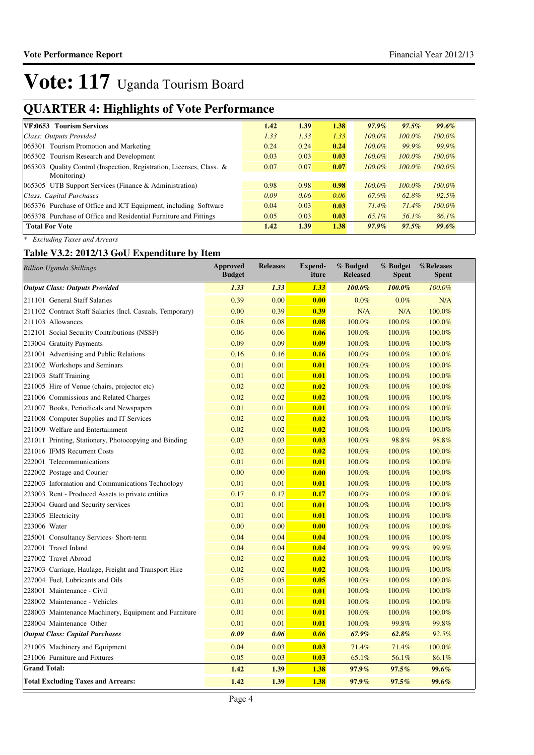## **QUARTER 4: Highlights of Vote Performance**

| 1.42 | 1.39 | 1.38 | $97.9\%$  | 97.5%     | 99.6%     |
|------|------|------|-----------|-----------|-----------|
| 1.33 | 1.33 | 1.33 | $100.0\%$ | $100.0\%$ | $100.0\%$ |
| 0.24 | 0.24 | 0.24 | $100.0\%$ | 99.9%     | 99.9%     |
| 0.03 | 0.03 | 0.03 | $100.0\%$ | $100.0\%$ | 100.0%    |
| 0.07 | 0.07 | 0.07 | $100.0\%$ | $100.0\%$ | $100.0\%$ |
|      |      |      |           |           |           |
| 0.98 | 0.98 | 0.98 | $100.0\%$ | $100.0\%$ | $100.0\%$ |
| 0.09 | 0.06 | 0.06 | 67.9%     | 62.8%     | $92.5\%$  |
| 0.04 | 0.03 | 0.03 | 71.4%     | 71.4%     | $100.0\%$ |
| 0.05 | 0.03 | 0.03 | $65.1\%$  | 56.1%     | 86.1%     |
| 1.42 | 1.39 | 1.38 | $97.9\%$  | 97.5%     | 99.6%     |
|      |      |      |           |           |           |

*\* Excluding Taxes and Arrears*

### **Table V3.2: 2012/13 GoU Expenditure by Item**

| <b>Billion Uganda Shillings</b>                           | <b>Approved</b><br><b>Budget</b> | <b>Releases</b> | <b>Expend-</b><br>iture | % Budged<br><b>Released</b> | % Budget<br><b>Spent</b> | %Releases<br><b>Spent</b> |
|-----------------------------------------------------------|----------------------------------|-----------------|-------------------------|-----------------------------|--------------------------|---------------------------|
| <b>Output Class: Outputs Provided</b>                     | 1.33                             | 1.33            | 1.33                    | 100.0%                      | 100.0%                   | 100.0%                    |
| 211101 General Staff Salaries                             | 0.39                             | 0.00            | 0.00                    | 0.0%                        | 0.0%                     | N/A                       |
| 211102 Contract Staff Salaries (Incl. Casuals, Temporary) | 0.00                             | 0.39            | 0.39                    | N/A                         | N/A                      | 100.0%                    |
| 211103 Allowances                                         | 0.08                             | 0.08            | 0.08                    | 100.0%                      | 100.0%                   | 100.0%                    |
| 212101 Social Security Contributions (NSSF)               | 0.06                             | 0.06            | 0.06                    | 100.0%                      | 100.0%                   | 100.0%                    |
| 213004 Gratuity Payments                                  | 0.09                             | 0.09            | 0.09                    | 100.0%                      | 100.0%                   | 100.0%                    |
| 221001 Advertising and Public Relations                   | 0.16                             | 0.16            | 0.16                    | 100.0%                      | 100.0%                   | 100.0%                    |
| 221002 Workshops and Seminars                             | 0.01                             | 0.01            | 0.01                    | 100.0%                      | 100.0%                   | 100.0%                    |
| 221003 Staff Training                                     | 0.01                             | 0.01            | 0.01                    | 100.0%                      | 100.0%                   | 100.0%                    |
| 221005 Hire of Venue (chairs, projector etc)              | 0.02                             | 0.02            | 0.02                    | 100.0%                      | 100.0%                   | 100.0%                    |
| 221006 Commissions and Related Charges                    | 0.02                             | 0.02            | 0.02                    | 100.0%                      | 100.0%                   | 100.0%                    |
| 221007 Books, Periodicals and Newspapers                  | 0.01                             | 0.01            | 0.01                    | 100.0%                      | 100.0%                   | 100.0%                    |
| 221008 Computer Supplies and IT Services                  | 0.02                             | 0.02            | 0.02                    | 100.0%                      | 100.0%                   | 100.0%                    |
| 221009 Welfare and Entertainment                          | 0.02                             | 0.02            | 0.02                    | 100.0%                      | 100.0%                   | 100.0%                    |
| 221011 Printing, Stationery, Photocopying and Binding     | 0.03                             | 0.03            | 0.03                    | 100.0%                      | 98.8%                    | 98.8%                     |
| 221016 IFMS Recurrent Costs                               | 0.02                             | 0.02            | 0.02                    | 100.0%                      | 100.0%                   | 100.0%                    |
| 222001 Telecommunications                                 | 0.01                             | 0.01            | 0.01                    | 100.0%                      | 100.0%                   | 100.0%                    |
| 222002 Postage and Courier                                | 0.00                             | 0.00            | 0.00                    | 100.0%                      | 100.0%                   | 100.0%                    |
| 222003 Information and Communications Technology          | 0.01                             | 0.01            | 0.01                    | 100.0%                      | 100.0%                   | 100.0%                    |
| 223003 Rent - Produced Assets to private entities         | 0.17                             | 0.17            | 0.17                    | 100.0%                      | 100.0%                   | 100.0%                    |
| 223004 Guard and Security services                        | 0.01                             | 0.01            | 0.01                    | 100.0%                      | 100.0%                   | 100.0%                    |
| 223005 Electricity                                        | 0.01                             | 0.01            | 0.01                    | 100.0%                      | 100.0%                   | 100.0%                    |
| 223006 Water                                              | 0.00                             | 0.00            | 0.00                    | 100.0%                      | 100.0%                   | 100.0%                    |
| 225001 Consultancy Services- Short-term                   | 0.04                             | 0.04            | 0.04                    | 100.0%                      | 100.0%                   | 100.0%                    |
| 227001 Travel Inland                                      | 0.04                             | 0.04            | 0.04                    | 100.0%                      | 99.9%                    | 99.9%                     |
| 227002 Travel Abroad                                      | 0.02                             | 0.02            | 0.02                    | 100.0%                      | 100.0%                   | 100.0%                    |
| 227003 Carriage, Haulage, Freight and Transport Hire      | 0.02                             | 0.02            | 0.02                    | 100.0%                      | 100.0%                   | 100.0%                    |
| 227004 Fuel, Lubricants and Oils                          | 0.05                             | 0.05            | 0.05                    | 100.0%                      | 100.0%                   | 100.0%                    |
| 228001 Maintenance - Civil                                | 0.01                             | 0.01            | 0.01                    | 100.0%                      | 100.0%                   | 100.0%                    |
| 228002 Maintenance - Vehicles                             | 0.01                             | 0.01            | 0.01                    | 100.0%                      | 100.0%                   | 100.0%                    |
| 228003 Maintenance Machinery, Equipment and Furniture     | 0.01                             | 0.01            | 0.01                    | 100.0%                      | 100.0%                   | 100.0%                    |
| 228004 Maintenance Other                                  | 0.01                             | 0.01            | 0.01                    | 100.0%                      | 99.8%                    | 99.8%                     |
| <b>Output Class: Capital Purchases</b>                    | 0.09                             | 0.06            | 0.06                    | 67.9%                       | 62.8%                    | 92.5%                     |
| 231005 Machinery and Equipment                            | 0.04                             | 0.03            | 0.03                    | 71.4%                       | 71.4%                    | 100.0%                    |
| 231006 Furniture and Fixtures                             | 0.05                             | 0.03            | 0.03                    | 65.1%                       | 56.1%                    | 86.1%                     |
| <b>Grand Total:</b>                                       | 1.42                             | 1.39            | 1.38                    | 97.9%                       | $97.5\%$                 | 99.6%                     |
| <b>Total Excluding Taxes and Arrears:</b>                 | 1.42                             | 1.39            | 1.38                    | $97.9\%$                    | 97.5%                    | 99.6%                     |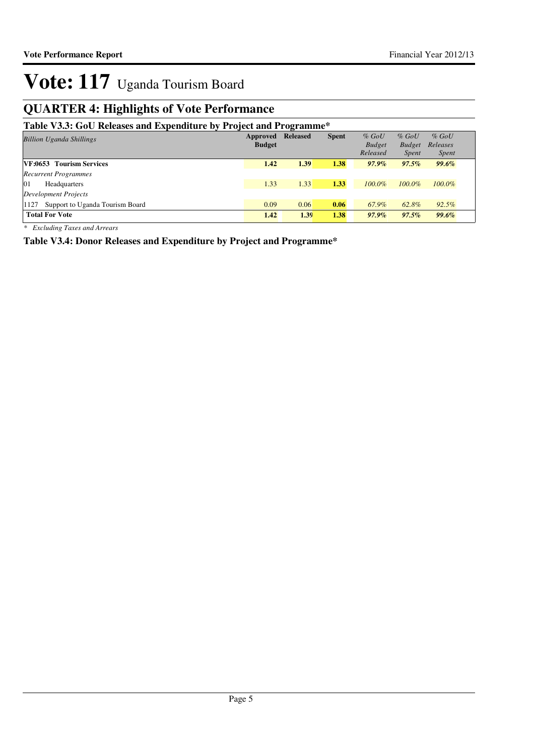## **QUARTER 4: Highlights of Vote Performance**

### **Table V3.3: GoU Releases and Expenditure by Project and Programme\***

| Table <i>volot</i> Goo Kertasts and Expenditure by Froject and Frogramme |               |                 |              |               |               |              |
|--------------------------------------------------------------------------|---------------|-----------------|--------------|---------------|---------------|--------------|
| <b>Billion Uganda Shillings</b>                                          | Approved      | <b>Released</b> | <b>Spent</b> | $%$ GoU       | $%$ GoU       | $%$ GoU      |
|                                                                          | <b>Budget</b> |                 |              | <b>Budget</b> | <b>Budget</b> | Releases     |
|                                                                          |               |                 |              | Released      | <i>Spent</i>  | <i>Spent</i> |
| <b>VF:0653 Tourism Services</b>                                          | 1.42          | 1.39            | 1.38         | $97.9\%$      | $97.5\%$      | <b>99.6%</b> |
| <b>Recurrent Programmes</b>                                              |               |                 |              |               |               |              |
| 01<br>Headquarters                                                       | 1.33          | 1.33            | 1.33         | $100.0\%$     | $100.0\%$     | $100.0\%$    |
| <b>Development Projects</b>                                              |               |                 |              |               |               |              |
| Support to Uganda Tourism Board<br>1127                                  | 0.09          | 0.06            | 0.06         | 67.9%         | 62.8%         | $92.5\%$     |
| <b>Total For Vote</b>                                                    | 1.42          | 1.39            | 1.38         | $97.9\%$      | $97.5\%$      | 99.6%        |

*\* Excluding Taxes and Arrears*

**Table V3.4: Donor Releases and Expenditure by Project and Programme\***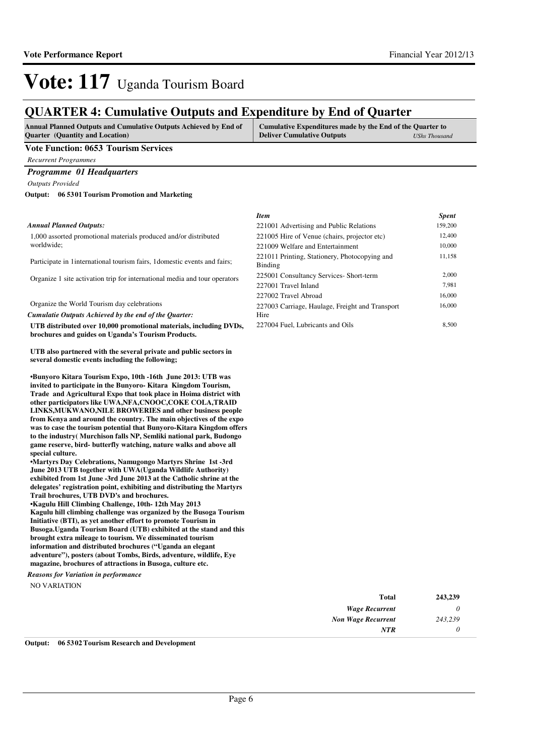## **QUARTER 4: Cumulative Outputs and Expenditure by End of Quarter**

| <b>Annual Planned Outputs and Cumulative Outputs Achieved by End of</b> | Cumulative Expenditures made by the End of the Quarter to |               |
|-------------------------------------------------------------------------|-----------------------------------------------------------|---------------|
| <b>Ouarter</b> (Quantity and Location)                                  | <b>Deliver Cumulative Outputs</b>                         | UShs Thousand |

#### **Vote Function: 0653 Tourism Services**

*Recurrent Programmes*

#### *Programme 01 Headquarters*

*Outputs Provided*

#### **06 5301 Tourism Promotion and Marketing Output:**

#### *Annual Planned Outputs:*

1,000 assorted promotional materials produced and/or distributed worldwide;

Participate in 1international tourism fairs, 1domestic events and fairs;

Organize 1 site activation trip for international media and tour operators

Organize the World Tourism day celebrations

*Cumulatie Outputs Achieved by the end of the Quarter:*

**UTB distributed over 10,000 promotional materials, including DVDs, brochures and guides on Uganda's Tourism Products.**

**UTB also partnered with the several private and public sectors in several domestic events including the following;**

**•Bunyoro Kitara Tourism Expo, 10th -16th June 2013 : UTB was invited to participate in the Bunyoro- Kitara Kingdom Tourism, Trade and Agricultural Expo that took place in Hoima district with other participators like UWA,NFA,CNOOC,COKE COLA,TRAID LINKS,MUKWANO,NILE BROWERIES and other business people from Kenya and around the country. The main objectives of the expo was to case the tourism potential that Bunyoro-Kitara Kingdom offers to the industry( Murchison falls NP, Semliki national park, Budongo game reserve, bird- butterfly watching, nature walks and above all special culture.**

**•Martyrs Day Celebrations, Namugongo Martyrs Shrine 1st -3rd June 2013 UTB together with UWA(Uganda Wildlife Authority) exhibited from 1st June -3rd June 2013 at the Catholic shrine at the delegates' registration point, exhibiting and distributing the Martyrs Trail brochures, UTB DVD's and brochures.** 

**•Kagulu Hill Climbing Challenge, 10th- 12th May 201 3 Kagulu hill climbing challenge was organized by the Busoga Tourism Initiative (BTI), as yet another effort to promote Tourism in Busoga.Uganda Tourism Board (UTB) exhibited at the stand and this brought extra mileage to tourism. We disseminated tourism information and distributed brochures ("Uganda an elegant adventure"), posters (about Tombs, Birds, adventure, wildlife, Eye magazine, brochures of attractions in Busoga, culture etc.**

NO VARIATION *Reasons for Variation in performance*

| <b>Item</b>                                              | <b>Spent</b> |
|----------------------------------------------------------|--------------|
| 221001 Advertising and Public Relations                  | 159,200      |
| 221005 Hire of Venue (chairs, projector etc)             | 12,400       |
| 221009 Welfare and Entertainment                         | 10,000       |
| 221011 Printing, Stationery, Photocopying and<br>Binding | 11,158       |
| 225001 Consultancy Services- Short-term                  | 2.000        |
| 227001 Travel Inland                                     | 7.981        |
| 227002 Travel Abroad                                     | 16,000       |
| 227003 Carriage, Haulage, Freight and Transport          | 16,000       |
| Hire                                                     |              |
| 227004 Fuel, Lubricants and Oils                         | 8.500        |

| <b>Total</b>              | 243,239  |
|---------------------------|----------|
| <b>Wage Recurrent</b>     | 0        |
| <b>Non Wage Recurrent</b> | 243,239  |
| <b>NTR</b>                | $\theta$ |

**Output: 06 5302 Tourism Research and Development**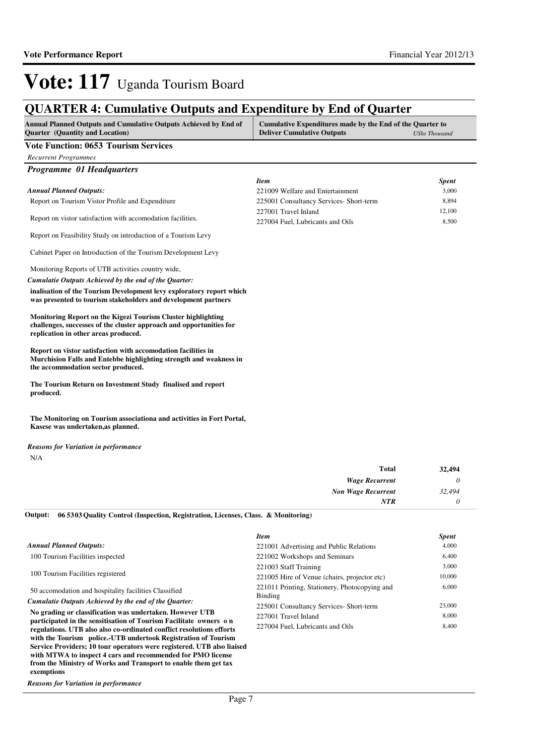## **QUARTER 4: Cumulative Outputs and Expenditure by End of Quarter**

| <b>Annual Planned Outputs and Cumulative Outputs Achieved by End of</b><br><b>Quarter</b> (Quantity and Location) | Cumulative Expenditures made by the End of the Quarter to<br><b>Deliver Cumulative Outputs</b> | UShs Thousand |
|-------------------------------------------------------------------------------------------------------------------|------------------------------------------------------------------------------------------------|---------------|
| Vote Function: 0653 Tourism Services                                                                              |                                                                                                |               |

### *Recurrent Programmes*

| <b>Programme 01 Headquarters</b>                            |                                        |              |
|-------------------------------------------------------------|----------------------------------------|--------------|
|                                                             | <i>Item</i>                            | <b>Spent</b> |
| <b>Annual Planned Outputs:</b>                              | 221009 Welfare and Entertainment       | 3,000        |
| Report on Tourism Vistor Profile and Expenditure            | 225001 Consultancy Services-Short-term | 8,894        |
| Report on vistor satisfaction with accomodation facilities. | 227001 Travel Inland                   | 12.100       |
|                                                             | 227004 Fuel, Lubricants and Oils       | 8.500        |

Report on Feasibility Study on introduction of a Tourism Levy

Cabinet Paper on Introduction of the Tourism Development Levy

Monitoring Reports of UTB activities country wide,

*Cumulatie Outputs Achieved by the end of the Quarter:*

**inalisation of the Tourism Development levy exploratory report which was presented to tourism stakeholders and development partners**

**Monitoring Report on the Kigezi Tourism Cluster highlighting challenges, successes of the cluster approach and opportunities for replication in other areas produced.**

**Report on vistor satisfaction with accomodation facilities in Murchision Falls and Entebbe highlighting strength and weakness in the accommodation sector produced.**

**The Tourism Return on Investment Study finalised and report produced.**

**The Monitoring on Tourism associationa and activities in Fort Portal, Kasese was undertaken,as planned.**

N/A *Reasons for Variation in performance*

| <b>Total</b>              | 32,494 |
|---------------------------|--------|
| <b>Wage Recurrent</b>     |        |
| <b>Non Wage Recurrent</b> | 32,494 |
| NTR                       |        |

**06 5303 Quality Control (Inspection, Registration, Licenses, Class. & Monitoring) Output:**

|                                                                                                                               | <b>Item</b>                                              | <b>Spent</b> |
|-------------------------------------------------------------------------------------------------------------------------------|----------------------------------------------------------|--------------|
| <b>Annual Planned Outputs:</b>                                                                                                | 221001 Advertising and Public Relations                  | 4,000        |
| 100 Tourism Facilities inspected                                                                                              | 221002 Workshops and Seminars                            | 6,400        |
| 100 Tourism Facilities registered                                                                                             | 221003 Staff Training                                    | 3,000        |
|                                                                                                                               | 221005 Hire of Venue (chairs, projector etc)             | 10,000       |
| 50 accomodation and hospitality facilities Classified                                                                         | 221011 Printing, Stationery, Photocopying and<br>Binding | 6,000        |
| Cumulatie Outputs Achieved by the end of the Ouarter:                                                                         | 225001 Consultancy Services- Short-term                  | 23,000       |
| No grading or classification was undertaken. However UTB<br>participated in the sensitisation of Tourism Facilitate owners on | 227001 Travel Inland                                     | 8,000        |
| regulations. UTB also also co-ordinated conflict resolutions efforts                                                          | 227004 Fuel, Lubricants and Oils                         | 8,400        |
| with the Tourism police.-UTB undertook Registration of Tourism                                                                |                                                          |              |
| Service Providers; 10 tour operators were registered. UTB also liaised                                                        |                                                          |              |
| with MTWA to inspect 4 cars and recommended for PMO license                                                                   |                                                          |              |
| from the Ministry of Works and Transport to enable them get tax                                                               |                                                          |              |

*Reasons for Variation in performance*

**exemptions**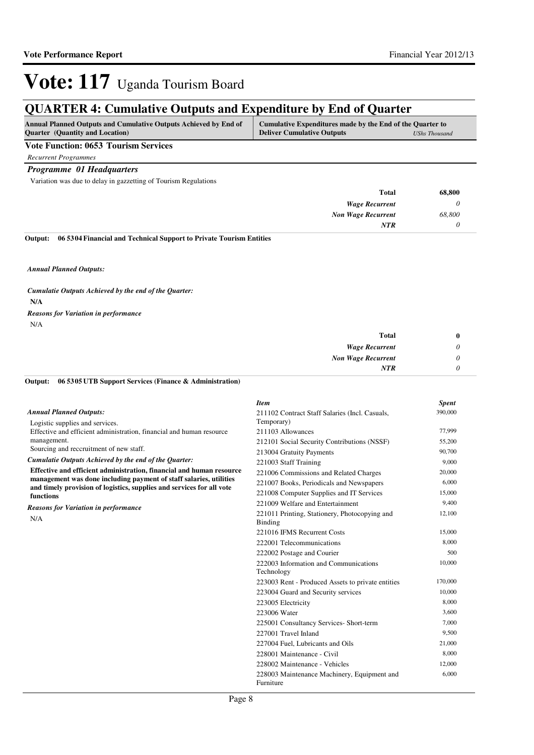## **QUARTER 4: Cumulative Outputs and Expenditure by End of Quarter**

| <b>Deliver Cumulative Outputs</b><br><b>Quarter</b> (Quantity and Location) | <b>UShs Thousand</b> |
|-----------------------------------------------------------------------------|----------------------|

### **Vote Function: 0653 Tourism Services**

*Recurrent Programmes*

#### *Programme 01 Headquarters*

Variation was due to delay in gazzetting of Tourism Regulations

| 68,800 |
|--------|
|        |
| 68,800 |
|        |
|        |

**06 5304 Financial and Technical Support to Private Tourism Entities Output:**

*Annual Planned Outputs:*

**N/A** *Cumulatie Outputs Achieved by the end of the Quarter:* N/A *Reasons for Variation in performance*

| <b>Total</b>              | 0 |
|---------------------------|---|
| <b>Wage Recurrent</b>     | υ |
| <b>Non Wage Recurrent</b> | υ |
| <b>NTR</b>                |   |

#### **06 5305 UTB Support Services (Finance & Administration) Output:**

|                                                                                                                                             | <b>Item</b>                                              | <b>Spent</b> |
|---------------------------------------------------------------------------------------------------------------------------------------------|----------------------------------------------------------|--------------|
| <b>Annual Planned Outputs:</b>                                                                                                              | 211102 Contract Staff Salaries (Incl. Casuals,           | 390,000      |
| Logistic supplies and services.                                                                                                             | Temporary)                                               |              |
| Effective and efficient administration, financial and human resource                                                                        | 211103 Allowances                                        | 77,999       |
| management.                                                                                                                                 | 212101 Social Security Contributions (NSSF)              | 55,200       |
| Sourcing and reccruitment of new staff.                                                                                                     | 213004 Gratuity Payments                                 | 90,700       |
| Cumulatie Outputs Achieved by the end of the Ouarter:                                                                                       | 221003 Staff Training                                    | 9.000        |
| Effective and efficient administration, financial and human resource                                                                        | 221006 Commissions and Related Charges                   | 20,000       |
| management was done including payment of staff salaries, utilities<br>and timely provision of logistics, supplies and services for all vote | 221007 Books, Periodicals and Newspapers                 | 6,000        |
| functions                                                                                                                                   | 221008 Computer Supplies and IT Services                 | 15,000       |
|                                                                                                                                             | 221009 Welfare and Entertainment                         | 9,400        |
| <b>Reasons for Variation in performance</b><br>N/A                                                                                          | 221011 Printing, Stationery, Photocopying and<br>Binding | 12,100       |
|                                                                                                                                             | 221016 IFMS Recurrent Costs                              | 15,000       |
|                                                                                                                                             | 222001 Telecommunications                                | 8,000        |
|                                                                                                                                             | 222002 Postage and Courier                               | 500          |
|                                                                                                                                             | 222003 Information and Communications<br>Technology      | 10,000       |
|                                                                                                                                             | 223003 Rent - Produced Assets to private entities        | 170,000      |
|                                                                                                                                             | 223004 Guard and Security services                       | 10,000       |
|                                                                                                                                             | 223005 Electricity                                       | 8,000        |
|                                                                                                                                             | 223006 Water                                             | 3.600        |
|                                                                                                                                             | 225001 Consultancy Services- Short-term                  | 7,000        |
|                                                                                                                                             | 227001 Travel Inland                                     | 9,500        |
|                                                                                                                                             | 227004 Fuel, Lubricants and Oils                         | 21,000       |
|                                                                                                                                             | 228001 Maintenance - Civil                               | 8,000        |
|                                                                                                                                             | 228002 Maintenance - Vehicles                            | 12,000       |
|                                                                                                                                             | 228003 Maintenance Machinery, Equipment and<br>Furniture | 6,000        |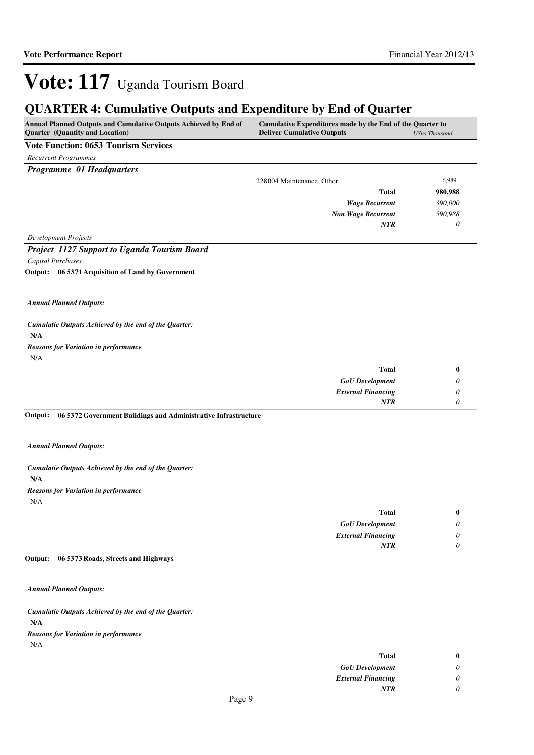## **QUARTER 4: Cumulative Outputs and Expenditure by End of Quarter**

| <b>Annual Planned Outputs and Cumulative Outputs Achieved by End of</b> | Cumulative Expenditures made by the End of the Quarter to |                      |
|-------------------------------------------------------------------------|-----------------------------------------------------------|----------------------|
| <b>Ouarter</b> (Quantity and Location)                                  | <b>Deliver Cumulative Outputs</b>                         | <b>UShs Thousand</b> |
| the company's company's company's                                       |                                                           |                      |

#### **Vote Function: 0653 Tourism Services**

*Recurrent Programmes*

*Programme 01 Headquarters*

|                      | 228004 Maintenance Other  | 6,989   |
|----------------------|---------------------------|---------|
|                      | <b>Total</b>              | 980,988 |
|                      | <b>Wage Recurrent</b>     | 390,000 |
|                      | <b>Non Wage Recurrent</b> | 590,988 |
|                      | <b>NTR</b>                | 0       |
| Development Projects |                           |         |

*Project 1127 Support to Uganda Tourism Board Capital Purchases*

**06 5371 Acquisition of Land by Government Output:**

*Annual Planned Outputs:*

**N/A** *Cumulatie Outputs Achieved by the end of the Quarter:* N/A *Reasons for Variation in performance*

| 0 | <b>Total</b>              |
|---|---------------------------|
|   | <b>GoU</b> Development    |
|   | <b>External Financing</b> |
|   | <b>NTR</b>                |
|   |                           |

**06 5372 Government Buildings and Administrative Infrastructure Output:**

*Annual Planned Outputs:*

**N/A** *Cumulatie Outputs Achieved by the end of the Quarter:* N/A *Reasons for Variation in performance*

| <b>Total</b>              | $\bf{0}$ |
|---------------------------|----------|
| <b>GoU</b> Development    | U        |
| <b>External Financing</b> | U        |
| <b>NTR</b>                |          |

#### **06 5373 Roads, Streets and Highways Output:**

*Annual Planned Outputs:*

**N/A** *Cumulatie Outputs Achieved by the end of the Quarter:* N/A *Reasons for Variation in performance*

| <b>Total</b>              |  |
|---------------------------|--|
| <b>GoU</b> Development    |  |
| <b>External Financing</b> |  |
| <b>NTR</b>                |  |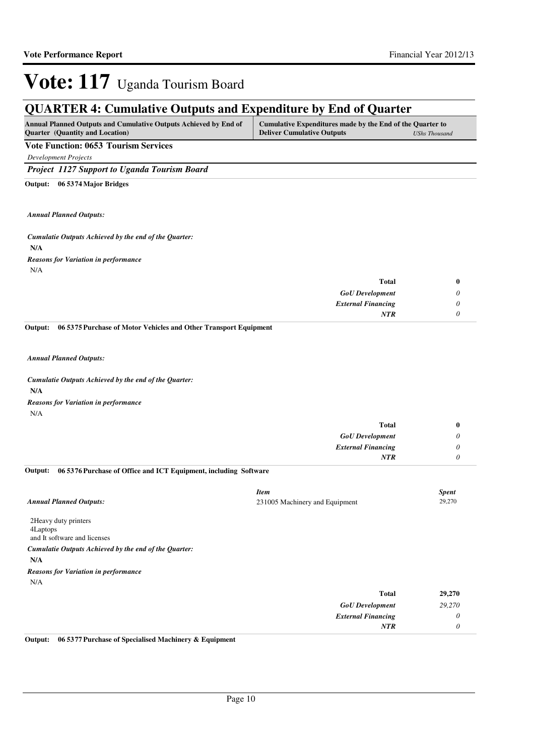## **QUARTER 4: Cumulative Outputs and Expenditure by End of Quarter**

| <b>Annual Planned Outputs and Cumulative Outputs Achieved by End of</b> | Cumulative Expenditures made by the End of the Quarter to |               |
|-------------------------------------------------------------------------|-----------------------------------------------------------|---------------|
| Quarter (Quantity and Location)                                         | <b>Deliver Cumulative Outputs</b>                         | UShs Thousand |

### **Vote Function: 0653 Tourism Services**

*Development Projects*

*Project 1127 Support to Uganda Tourism Board*

**06 5374 Major Bridges Output:**

*Annual Planned Outputs:*

**N/A** *Cumulatie Outputs Achieved by the end of the Quarter:* N/A *Reasons for Variation in performance*

| Total                     |
|---------------------------|
| <b>GoU</b> Development    |
| <b>External Financing</b> |
| <b>NTR</b>                |
|                           |

**06 5375 Purchase of Motor Vehicles and Other Transport Equipment Output:**

*Annual Planned Outputs:*

**N/A** *Cumulatie Outputs Achieved by the end of the Quarter:* N/A *Reasons for Variation in performance*

| <b>Total</b>              | 0 |
|---------------------------|---|
| <b>GoU</b> Development    | υ |
| <b>External Financing</b> | U |
| <b>NTR</b>                |   |

#### **06 5376 Purchase of Office and ICT Equipment, including Software Output:**

| <b>Annual Planned Outputs:</b>                                    | <b>Item</b><br>231005 Machinery and Equipment | <b>Spent</b><br>29,270 |
|-------------------------------------------------------------------|-----------------------------------------------|------------------------|
| 2 Heavy duty printers<br>4Laptops<br>and It software and licenses |                                               |                        |
| Cumulatie Outputs Achieved by the end of the Quarter:             |                                               |                        |
| N/A                                                               |                                               |                        |
| <b>Reasons for Variation in performance</b>                       |                                               |                        |
| N/A                                                               |                                               |                        |
|                                                                   | <b>Total</b>                                  | 29,270                 |
|                                                                   | <b>GoU</b> Development                        | 29,270                 |

*External Financing*

*NTR*

*0 0*

**Output: 06 5377 Purchase of Specialised Machinery & Equipment**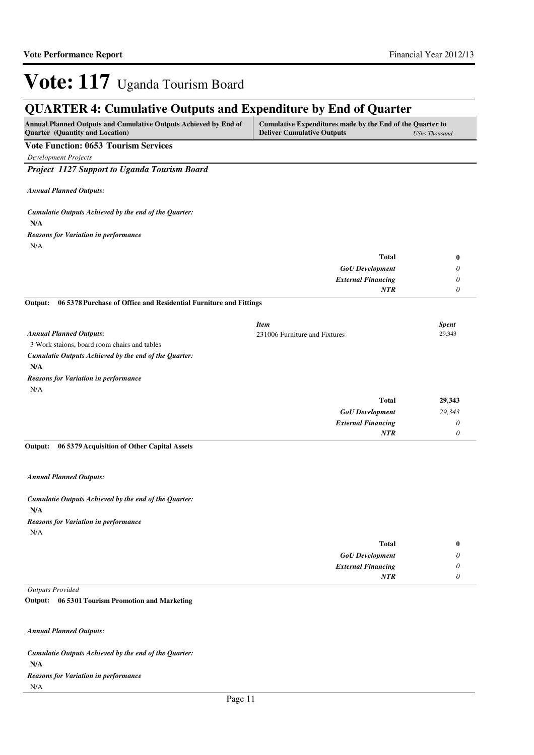## **QUARTER 4: Cumulative Outputs and Expenditure by End of Quarter**

| <b>Annual Planned Outputs and Cumulative Outputs Achieved by End of</b> | Cumulative Expenditures made by the End of the Quarter to |               |
|-------------------------------------------------------------------------|-----------------------------------------------------------|---------------|
| <b>Quarter</b> (Quantity and Location)                                  | <b>Deliver Cumulative Outputs</b>                         | UShs Thousand |

### **Vote Function: 0653 Tourism Services**

*Development Projects*

*Project 1127 Support to Uganda Tourism Board*

*Annual Planned Outputs:*

**N/A** *Cumulatie Outputs Achieved by the end of the Quarter:* N/A *Reasons for Variation in performance*

| <b>Total</b>              | $\bf{0}$                  |
|---------------------------|---------------------------|
| <b>GoU</b> Development    | $\boldsymbol{\mathsf{U}}$ |
| <b>External Financing</b> | υ                         |
| <b>NTR</b>                | U                         |

**06 5378 Purchase of Office and Residential Furniture and Fittings Output:**

|                                                       | <b>Item</b>                   |              | <b>Spent</b> |
|-------------------------------------------------------|-------------------------------|--------------|--------------|
| <b>Annual Planned Outputs:</b>                        | 231006 Furniture and Fixtures |              | 29,343       |
| 3 Work staions, board room chairs and tables          |                               |              |              |
| Cumulatie Outputs Achieved by the end of the Ouarter: |                               |              |              |
| N/A                                                   |                               |              |              |
| <b>Reasons for Variation in performance</b>           |                               |              |              |
| N/A                                                   |                               |              |              |
|                                                       |                               | <b>Total</b> | 29,343       |

|        | .                         |
|--------|---------------------------|
| 29,343 | <b>GoU</b> Development    |
|        | <b>External Financing</b> |
|        | NT R                      |
|        |                           |

#### **06 5379 Acquisition of Other Capital Assets Output:**

*Annual Planned Outputs:*

**N/A** *Cumulatie Outputs Achieved by the end of the Quarter:* N/A *Reasons for Variation in performance*

| Total<br>0                |
|---------------------------|
| <b>GoU</b> Development    |
| <b>External Financing</b> |
|                           |
| NTR                       |

*Outputs Provided*

#### **06 5301 Tourism Promotion and Marketing Output:**

*Annual Planned Outputs:*

**N/A** *Cumulatie Outputs Achieved by the end of the Quarter:* N/A *Reasons for Variation in performance*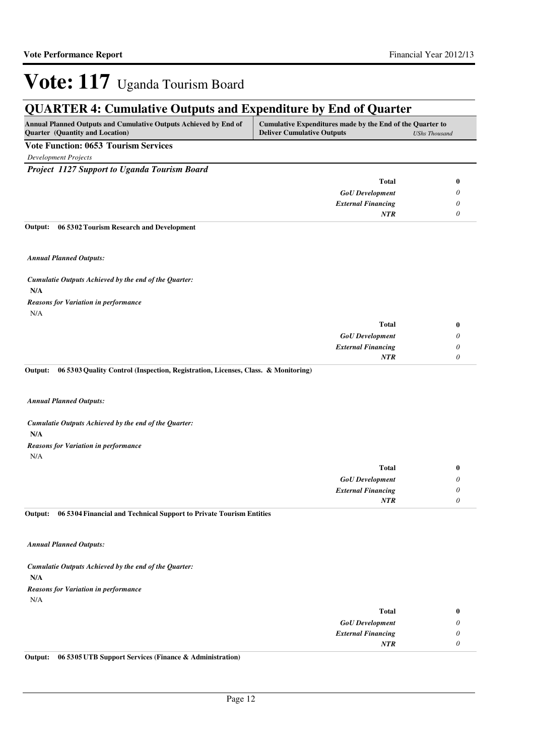## **QUARTER 4: Cumulative Outputs and Expenditure by End of Quarter**

| <b>Annual Planned Outputs and Cumulative Outputs Achieved by End of</b> | Cumulative Expenditures made by the End of the Quarter to |                      |
|-------------------------------------------------------------------------|-----------------------------------------------------------|----------------------|
| <b>Quarter</b> (Quantity and Location)                                  | <b>Deliver Cumulative Outputs</b>                         | <b>UShs Thousand</b> |

### **Vote Function: 0653 Tourism Services**

*Development Projects*

*Project 1127 Support to Uganda Tourism Board*

| <b>Total</b>              | 0 |
|---------------------------|---|
| <b>GoU</b> Development    |   |
| <b>External Financing</b> |   |
| <b>NTR</b>                |   |

#### **06 5302 Tourism Research and Development Output:**

*Annual Planned Outputs:*

**N/A** *Cumulatie Outputs Achieved by the end of the Quarter:* N/A *Reasons for Variation in performance*

| <b>Total</b>              |
|---------------------------|
| <b>GoU</b> Development    |
| <b>External Financing</b> |
| NTR                       |

**06 5303 Quality Control (Inspection, Registration, Licenses, Class. & Monitoring) Output:**

*Annual Planned Outputs:*

**N/A** *Cumulatie Outputs Achieved by the end of the Quarter:* N/A *Reasons for Variation in performance*

| <b>Total</b>              |  |
|---------------------------|--|
| <b>GoU</b> Development    |  |
| <b>External Financing</b> |  |
| NTR                       |  |

**06 5304 Financial and Technical Support to Private Tourism Entities Output:**

*Annual Planned Outputs:*

**N/A** *Cumulatie Outputs Achieved by the end of the Quarter:* N/A *Reasons for Variation in performance*

|   | Total                     |
|---|---------------------------|
|   | <b>GoU</b> Development    |
| U | <b>External Financing</b> |
|   | <b>NTR</b>                |
|   |                           |

**Output: 06 5305 UTB Support Services (Finance & Administration)**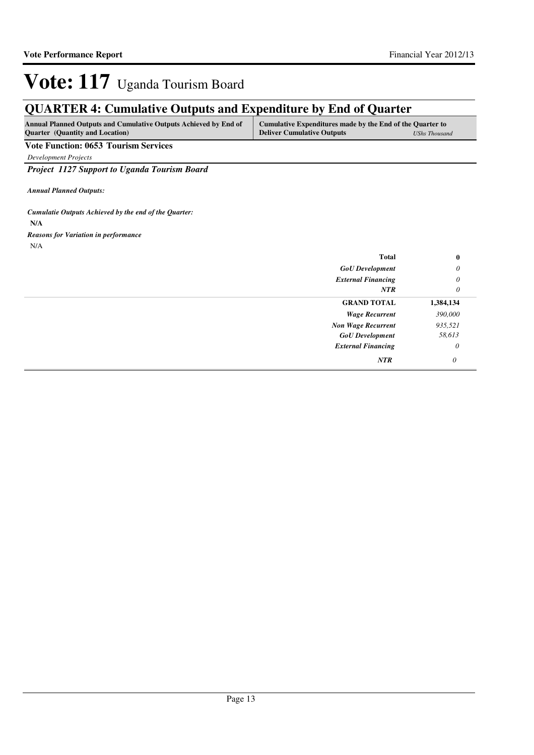## **QUARTER 4: Cumulative Outputs and Expenditure by End of Quarter**

| Annual Planned Outputs and Cumulative Outputs Achieved by End of | Cumulative Expenditures made by the End of the Quarter to |               |
|------------------------------------------------------------------|-----------------------------------------------------------|---------------|
| <b>Ouarter</b> (Quantity and Location)                           | <b>Deliver Cumulative Outputs</b>                         | UShs Thousand |

### **Vote Function: 0653 Tourism Services**

*Development Projects*

*Project 1127 Support to Uganda Tourism Board*

*Annual Planned Outputs:*

**N/A** *Cumulatie Outputs Achieved by the end of the Quarter:* N/A *Reasons for Variation in performance*

| <b>Total</b>              | $\bf{0}$              |
|---------------------------|-----------------------|
| <b>GoU</b> Development    | 0                     |
| <b>External Financing</b> | $\boldsymbol{\theta}$ |
| NTR                       | 0                     |
| <b>GRAND TOTAL</b>        | 1,384,134             |
| <b>Wage Recurrent</b>     | 390,000               |
| <b>Non Wage Recurrent</b> | 935,521               |
| <b>GoU</b> Development    | 58,613                |
| <b>External Financing</b> | 0                     |
| <b>NTR</b>                | 0                     |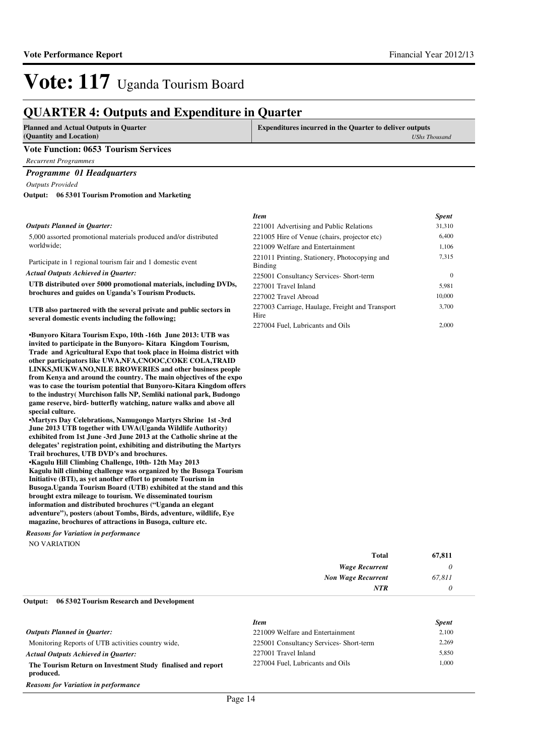### **QUARTER 4: Outputs and Expenditure in Quarter**

| <b>Planned and Actual Outputs in Quarter</b>       | <b>Expenditures incurred in the Quarter to deliver outputs</b> |               |
|----------------------------------------------------|----------------------------------------------------------------|---------------|
| (Quantity and Location)                            |                                                                | UShs Thousand |
| <b>Vote Function: 0653 Tourism Services</b>        |                                                                |               |
| <b>Recurrent Programmes</b>                        |                                                                |               |
| <b>Programme 01 Headquarters</b>                   |                                                                |               |
| <b>Outputs Provided</b>                            |                                                                |               |
| 06 5301 Tourism Promotion and Marketing<br>Output: |                                                                |               |
|                                                    | <b>Item</b>                                                    | <b>Spent</b>  |
| Outputs Planned in Ouarter:                        | 221001 Advertising and Public Relations                        | 31.310        |

#### 5,000 assorted promotional materials produced and/or distributed worldwide;

Participate in 1 regional tourism fair and 1 domestic event

*Actual Outputs Achieved in Quarter:*

**UTB distributed over 5000 promotional materials, including DVDs, brochures and guides on Uganda's Tourism Products.**

**UTB also partnered with the several private and public sectors in several domestic events including the following;**

**•Bunyoro Kitara Tourism Expo, 10th -16th June 2013 : UTB was invited to participate in the Bunyoro- Kitara Kingdom Tourism, Trade and Agricultural Expo that took place in Hoima district with other participators like UWA,NFA,CNOOC,COKE COLA,TRAID LINKS,MUKWANO,NILE BROWERIES and other business people from Kenya and around the country. The main objectives of the expo was to case the tourism potential that Bunyoro-Kitara Kingdom offers to the industry( Murchison falls NP, Semliki national park, Budongo game reserve, bird- butterfly watching, nature walks and above all special culture.**

**•Martyrs Day Celebrations, Namugongo Martyrs Shrine 1st -3rd June 2013 UTB together with UWA(Uganda Wildlife Authority) exhibited from 1st June -3rd June 2013 at the Catholic shrine at the delegates' registration point, exhibiting and distributing the Martyrs Trail brochures, UTB DVD's and brochures. •Kagulu Hill Climbing Challenge, 10th- 12th May 201 3 Kagulu hill climbing challenge was organized by the Busoga Tourism** 

**Initiative (BTI), as yet another effort to promote Tourism in Busoga.Uganda Tourism Board (UTB) exhibited at the stand and this brought extra mileage to tourism. We disseminated tourism information and distributed brochures ("Uganda an elegant adventure"), posters (about Tombs, Birds, adventure, wildlife, Eye magazine, brochures of attractions in Busoga, culture etc.**

NO VARIATION *Reasons for Variation in performance*

| 221001 Advertising and Public Relations                  | 31,310   |
|----------------------------------------------------------|----------|
| 221005 Hire of Venue (chairs, projector etc)             | 6,400    |
| 221009 Welfare and Entertainment                         | 1,106    |
| 221011 Printing, Stationery, Photocopying and<br>Binding | 7,315    |
| 225001 Consultancy Services- Short-term                  | $\Omega$ |
| 227001 Travel Inland                                     | 5.981    |
| 227002 Travel Abroad                                     | 10,000   |
| 227003 Carriage, Haulage, Freight and Transport          | 3,700    |
| Hire                                                     |          |
| 227004 Fuel, Lubricants and Oils                         | 2.000    |

| 67,811 | <b>Total</b>              |
|--------|---------------------------|
|        | <b>Wage Recurrent</b>     |
| 67,811 | <b>Non Wage Recurrent</b> |
|        | <b>NTR</b>                |

#### **06 5302 Tourism Research and Development Output:**

|                                                                          | <b>Item</b>                             | <b>Spent</b> |
|--------------------------------------------------------------------------|-----------------------------------------|--------------|
| <b>Outputs Planned in Ouarter:</b>                                       | 221009 Welfare and Entertainment        | 2,100        |
| Monitoring Reports of UTB activities country wide,                       | 225001 Consultancy Services- Short-term | 2,269        |
| <b>Actual Outputs Achieved in Ouarter:</b>                               | 227001 Travel Inland                    | 5.850        |
| The Tourism Return on Investment Study finalised and report<br>produced. | 227004 Fuel, Lubricants and Oils        | 1.000        |
|                                                                          |                                         |              |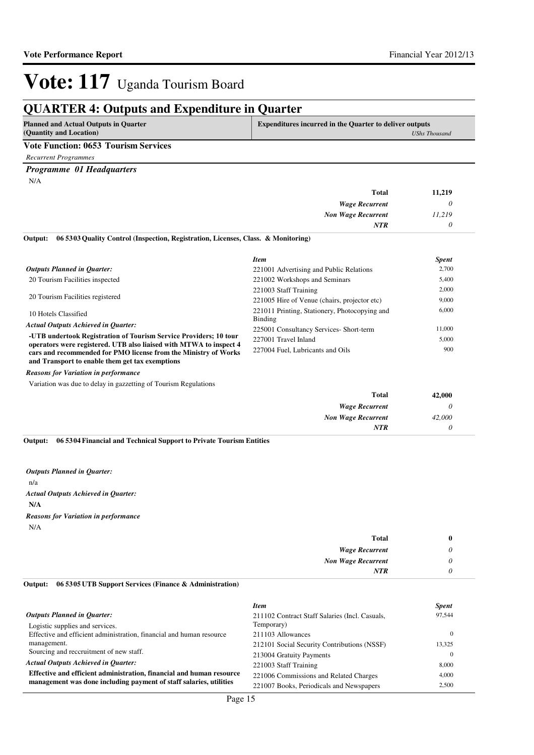## **QUARTER 4: Outputs and Expenditure in Quarter**

| <b>Planned and Actual Outputs in Quarter</b><br>(Quantity and Location) | Expenditures incurred in the Quarter to deliver outputs<br><b>UShs Thousand</b> |
|-------------------------------------------------------------------------|---------------------------------------------------------------------------------|
|                                                                         |                                                                                 |
| <b>Vote Function: 0653 Tourism Services</b>                             |                                                                                 |
| Recurrent Programmes                                                    |                                                                                 |

#### *Programme 01 Headquarters*

N/A

| <b>Total</b>              | 11,219 |
|---------------------------|--------|
| <b>Wage Recurrent</b>     |        |
| <b>Non Wage Recurrent</b> | 11,219 |
| <b>NTR</b>                |        |

#### **06 5303 Quality Control (Inspection, Registration, Licenses, Class. & Monitoring) Output:**

|                                                                                                                                         | <b>Item</b>                                   | <b>Spent</b> |
|-----------------------------------------------------------------------------------------------------------------------------------------|-----------------------------------------------|--------------|
| <b>Outputs Planned in Quarter:</b>                                                                                                      | 221001 Advertising and Public Relations       | 2,700        |
| 20 Tourism Facilities inspected                                                                                                         | 221002 Workshops and Seminars                 | 5,400        |
| 20 Tourism Facilities registered                                                                                                        | 221003 Staff Training                         | 2,000        |
|                                                                                                                                         | 221005 Hire of Venue (chairs, projector etc)  | 9,000        |
| 10 Hotels Classified                                                                                                                    | 221011 Printing, Stationery, Photocopying and | 6,000        |
|                                                                                                                                         | Binding                                       |              |
| <b>Actual Outputs Achieved in Quarter:</b>                                                                                              | 225001 Consultancy Services- Short-term       | 11,000       |
| -UTB undertook Registration of Tourism Service Providers; 10 tour<br>operators were registered. UTB also liaised with MTWA to inspect 4 | 227001 Travel Inland                          | 5,000        |
| cars and recommended for PMO license from the Ministry of Works                                                                         | 227004 Fuel, Lubricants and Oils              | 900          |
| and Transport to enable them get tax exemptions                                                                                         |                                               |              |

*Reasons for Variation in performance*

Variation was due to delay in gazzetting of Tourism Regulations

| 42,000 | <b>Total</b>              |
|--------|---------------------------|
|        | <b>Wage Recurrent</b>     |
| 42,000 | <b>Non Wage Recurrent</b> |
|        | NTR                       |
|        |                           |

**06 5304 Financial and Technical Support to Private Tourism Entities Output:**

n/a **N/A** *Actual Outputs Achieved in Quarter: Outputs Planned in Quarter:* N/A *Reasons for Variation in performance*

#### **06 5305 UTB Support Services (Finance & Administration) Output:**

|                                                                      | <b>Item</b>                                    | <b>Spent</b> |
|----------------------------------------------------------------------|------------------------------------------------|--------------|
| <b>Outputs Planned in Ouarter:</b>                                   | 211102 Contract Staff Salaries (Incl. Casuals, | 97,544       |
| Logistic supplies and services.                                      | Temporary)                                     |              |
| Effective and efficient administration, financial and human resource | 211103 Allowances                              |              |
| management.                                                          | 212101 Social Security Contributions (NSSF)    | 13.325       |
| Sourcing and recoruitment of new staff.                              | 213004 Gratuity Payments                       |              |
| <b>Actual Outputs Achieved in Ouarter:</b>                           | 221003 Staff Training                          | 8,000        |
| Effective and efficient administration, financial and human resource | 221006 Commissions and Related Charges         | 4.000        |
| management was done including payment of staff salaries, utilities   | 221007 Books, Periodicals and Newspapers       | 2.500        |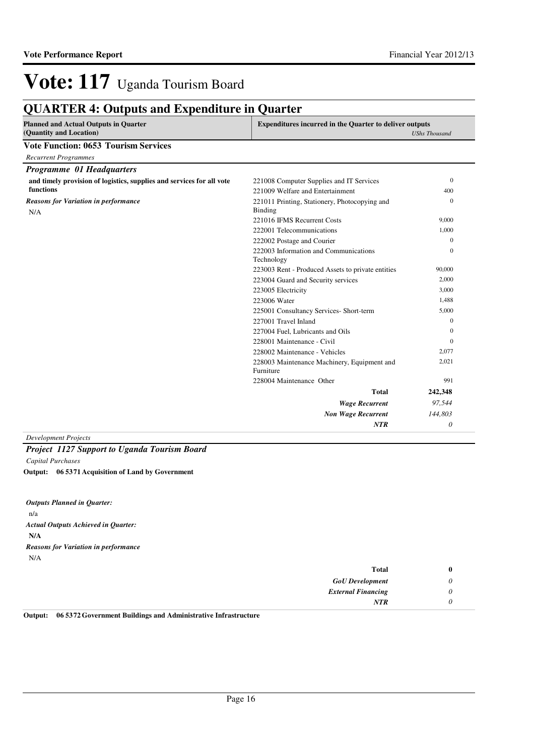## **QUARTER 4: Outputs and Expenditure in Quarter**

| <b>Planned and Actual Outputs in Quarter</b><br>(Quantity and Location) | <b>Expenditures incurred in the Quarter to deliver outputs</b><br><b>UShs Thousand</b> |              |
|-------------------------------------------------------------------------|----------------------------------------------------------------------------------------|--------------|
| <b>Vote Function: 0653 Tourism Services</b>                             |                                                                                        |              |
| <b>Recurrent Programmes</b>                                             |                                                                                        |              |
| Programme 01 Headquarters                                               |                                                                                        |              |
| and timely provision of logistics, supplies and services for all vote   | 221008 Computer Supplies and IT Services                                               | $\mathbf{0}$ |
| functions                                                               | 221009 Welfare and Entertainment                                                       | 400          |
| <b>Reasons for Variation in performance</b>                             | 221011 Printing, Stationery, Photocopying and                                          | $\mathbf{0}$ |
| N/A                                                                     | <b>Binding</b>                                                                         |              |
|                                                                         | 221016 IFMS Recurrent Costs                                                            | 9,000        |
|                                                                         | 222001 Telecommunications                                                              | 1.000        |
|                                                                         | 222002 Postage and Courier                                                             | $\Omega$     |
|                                                                         | 222003 Information and Communications<br>Technology                                    | $\Omega$     |
|                                                                         | 223003 Rent - Produced Assets to private entities                                      | 90,000       |
|                                                                         | 223004 Guard and Security services                                                     | 2,000        |
|                                                                         | 223005 Electricity                                                                     | 3,000        |
|                                                                         | 223006 Water                                                                           | 1,488        |
|                                                                         | 225001 Consultancy Services- Short-term                                                | 5,000        |
|                                                                         | 227001 Travel Inland                                                                   | $\mathbf{0}$ |
|                                                                         | 227004 Fuel, Lubricants and Oils                                                       | $\Omega$     |
|                                                                         | 228001 Maintenance - Civil                                                             | $\Omega$     |
|                                                                         | 228002 Maintenance - Vehicles                                                          | 2,077        |
|                                                                         | 228003 Maintenance Machinery, Equipment and<br>Furniture                               | 2,021        |
|                                                                         | 228004 Maintenance Other                                                               | 991          |
|                                                                         | <b>Total</b>                                                                           | 242,348      |
|                                                                         | <b>Wage Recurrent</b>                                                                  | 97,544       |
|                                                                         | <b>Non Wage Recurrent</b>                                                              | 144,803      |
|                                                                         | NTR                                                                                    | 0            |

*Development Projects*

### *Project 1127 Support to Uganda Tourism Board*

*Capital Purchases*

**06 5371 Acquisition of Land by Government Output:**

n/a **N/A** *Actual Outputs Achieved in Quarter: Outputs Planned in Quarter:* N/A *Reasons for Variation in performance*

|   | <b>Total</b>              |
|---|---------------------------|
|   | <b>GoU</b> Development    |
|   | <b>External Financing</b> |
| v | NTR                       |

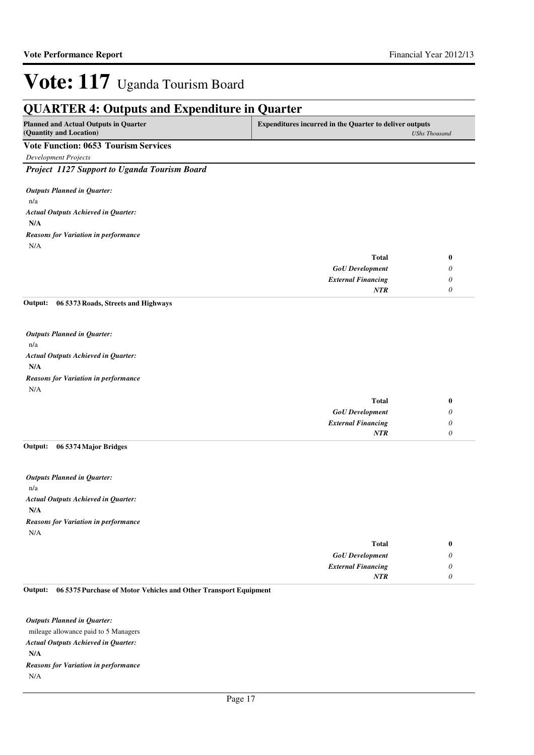| <b>Planned and Actual Outputs in Quarter</b><br>(Quantity and Location) | <b>Expenditures incurred in the Quarter to deliver outputs</b><br><b>UShs Thousand</b> |   |
|-------------------------------------------------------------------------|----------------------------------------------------------------------------------------|---|
| <b>Vote Function: 0653 Tourism Services</b>                             |                                                                                        |   |
| <b>Development Projects</b>                                             |                                                                                        |   |
| Project 1127 Support to Uganda Tourism Board                            |                                                                                        |   |
| <b>Outputs Planned in Quarter:</b>                                      |                                                                                        |   |
| n/a                                                                     |                                                                                        |   |
| <b>Actual Outputs Achieved in Quarter:</b>                              |                                                                                        |   |
| N/A                                                                     |                                                                                        |   |
| <b>Reasons for Variation in performance</b>                             |                                                                                        |   |
| N/A                                                                     |                                                                                        |   |
|                                                                         | <b>Total</b>                                                                           | 0 |
|                                                                         | <b>GoU</b> Development                                                                 | 0 |
|                                                                         | <b>External Financing</b>                                                              | 0 |
|                                                                         | NTR                                                                                    | 0 |
| 06 5373 Roads, Streets and Highways<br>Output:                          |                                                                                        |   |
| <b>Outputs Planned in Quarter:</b>                                      |                                                                                        |   |
| n/a                                                                     |                                                                                        |   |
| <b>Actual Outputs Achieved in Quarter:</b>                              |                                                                                        |   |
| N/A                                                                     |                                                                                        |   |
| <b>Reasons for Variation in performance</b>                             |                                                                                        |   |
| N/A                                                                     |                                                                                        |   |
|                                                                         | <b>Total</b>                                                                           | 0 |
|                                                                         | <b>GoU</b> Development                                                                 | 0 |
|                                                                         | <b>External Financing</b>                                                              | 0 |
|                                                                         | NTR                                                                                    | 0 |

n/a **N/A** *Actual Outputs Achieved in Quarter: Outputs Planned in Quarter:* N/A *Reasons for Variation in performance*

| Total                     |
|---------------------------|
| <b>GoU</b> Development    |
| <b>External Financing</b> |
| <b>NTR</b>                |
|                           |

#### **06 5375 Purchase of Motor Vehicles and Other Transport Equipment Output:**

mileage allowance paid to 5 Managers **N/A** *Actual Outputs Achieved in Quarter: Outputs Planned in Quarter:* N/A *Reasons for Variation in performance*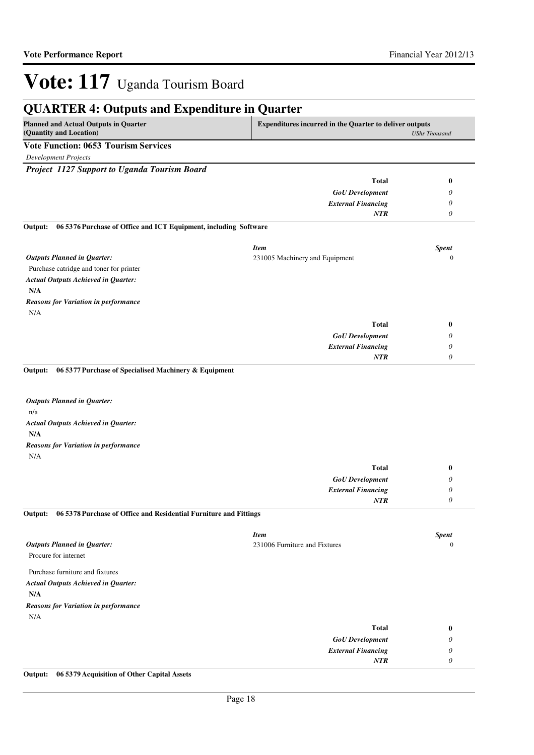*0*

*NTR*

# **Vote: 117** Uganda Tourism Board

| <b>Expenditures incurred in the Quarter to deliver outputs</b><br><b>UShs Thousand</b><br><b>Total</b><br>$\bf{0}$<br><b>GoU</b> Development<br>0<br><b>External Financing</b><br>0<br>NTR<br>$\theta$<br>06 5376 Purchase of Office and ICT Equipment, including Software<br><b>Item</b><br><b>Spent</b><br>231005 Machinery and Equipment<br>$\mathbf{0}$<br><b>Total</b><br>$\boldsymbol{0}$<br><b>GoU</b> Development<br>0<br><b>External Financing</b><br>0<br>$\theta$<br>NTR<br>06 5377 Purchase of Specialised Machinery & Equipment<br>Output:<br><b>Outputs Planned in Quarter:</b><br>N/A<br><b>Total</b><br>$\bf{0}$<br><b>GoU</b> Development<br>0<br><b>External Financing</b><br>0<br><b>NTR</b><br>0<br>06 5378 Purchase of Office and Residential Furniture and Fittings<br><b>Item</b><br><b>Spent</b><br><b>Outputs Planned in Quarter:</b><br>231006 Furniture and Fixtures<br>Procure for internet<br>N/A<br><b>Total</b><br>$\bf{0}$<br><b>GoU</b> Development<br>0 | <b>QUARTER 4: Outputs and Expenditure in Quarter</b>                    |                           |              |
|-------------------------------------------------------------------------------------------------------------------------------------------------------------------------------------------------------------------------------------------------------------------------------------------------------------------------------------------------------------------------------------------------------------------------------------------------------------------------------------------------------------------------------------------------------------------------------------------------------------------------------------------------------------------------------------------------------------------------------------------------------------------------------------------------------------------------------------------------------------------------------------------------------------------------------------------------------------------------------------------|-------------------------------------------------------------------------|---------------------------|--------------|
|                                                                                                                                                                                                                                                                                                                                                                                                                                                                                                                                                                                                                                                                                                                                                                                                                                                                                                                                                                                           | <b>Planned and Actual Outputs in Quarter</b><br>(Quantity and Location) |                           |              |
|                                                                                                                                                                                                                                                                                                                                                                                                                                                                                                                                                                                                                                                                                                                                                                                                                                                                                                                                                                                           | <b>Vote Function: 0653 Tourism Services</b>                             |                           |              |
|                                                                                                                                                                                                                                                                                                                                                                                                                                                                                                                                                                                                                                                                                                                                                                                                                                                                                                                                                                                           | <b>Development Projects</b>                                             |                           |              |
|                                                                                                                                                                                                                                                                                                                                                                                                                                                                                                                                                                                                                                                                                                                                                                                                                                                                                                                                                                                           | Project 1127 Support to Uganda Tourism Board                            |                           |              |
|                                                                                                                                                                                                                                                                                                                                                                                                                                                                                                                                                                                                                                                                                                                                                                                                                                                                                                                                                                                           |                                                                         |                           |              |
|                                                                                                                                                                                                                                                                                                                                                                                                                                                                                                                                                                                                                                                                                                                                                                                                                                                                                                                                                                                           |                                                                         |                           |              |
|                                                                                                                                                                                                                                                                                                                                                                                                                                                                                                                                                                                                                                                                                                                                                                                                                                                                                                                                                                                           |                                                                         |                           |              |
|                                                                                                                                                                                                                                                                                                                                                                                                                                                                                                                                                                                                                                                                                                                                                                                                                                                                                                                                                                                           |                                                                         |                           |              |
|                                                                                                                                                                                                                                                                                                                                                                                                                                                                                                                                                                                                                                                                                                                                                                                                                                                                                                                                                                                           | Output:                                                                 |                           |              |
|                                                                                                                                                                                                                                                                                                                                                                                                                                                                                                                                                                                                                                                                                                                                                                                                                                                                                                                                                                                           |                                                                         |                           |              |
|                                                                                                                                                                                                                                                                                                                                                                                                                                                                                                                                                                                                                                                                                                                                                                                                                                                                                                                                                                                           | <b>Outputs Planned in Quarter:</b>                                      |                           |              |
|                                                                                                                                                                                                                                                                                                                                                                                                                                                                                                                                                                                                                                                                                                                                                                                                                                                                                                                                                                                           | Purchase catridge and toner for printer                                 |                           |              |
|                                                                                                                                                                                                                                                                                                                                                                                                                                                                                                                                                                                                                                                                                                                                                                                                                                                                                                                                                                                           | <b>Actual Outputs Achieved in Quarter:</b>                              |                           |              |
|                                                                                                                                                                                                                                                                                                                                                                                                                                                                                                                                                                                                                                                                                                                                                                                                                                                                                                                                                                                           | N/A                                                                     |                           |              |
|                                                                                                                                                                                                                                                                                                                                                                                                                                                                                                                                                                                                                                                                                                                                                                                                                                                                                                                                                                                           | <b>Reasons for Variation in performance</b>                             |                           |              |
|                                                                                                                                                                                                                                                                                                                                                                                                                                                                                                                                                                                                                                                                                                                                                                                                                                                                                                                                                                                           | N/A                                                                     |                           |              |
|                                                                                                                                                                                                                                                                                                                                                                                                                                                                                                                                                                                                                                                                                                                                                                                                                                                                                                                                                                                           |                                                                         |                           |              |
|                                                                                                                                                                                                                                                                                                                                                                                                                                                                                                                                                                                                                                                                                                                                                                                                                                                                                                                                                                                           |                                                                         |                           |              |
|                                                                                                                                                                                                                                                                                                                                                                                                                                                                                                                                                                                                                                                                                                                                                                                                                                                                                                                                                                                           |                                                                         |                           |              |
|                                                                                                                                                                                                                                                                                                                                                                                                                                                                                                                                                                                                                                                                                                                                                                                                                                                                                                                                                                                           |                                                                         |                           |              |
|                                                                                                                                                                                                                                                                                                                                                                                                                                                                                                                                                                                                                                                                                                                                                                                                                                                                                                                                                                                           | n/a<br><b>Actual Outputs Achieved in Quarter:</b><br>N/A                |                           |              |
|                                                                                                                                                                                                                                                                                                                                                                                                                                                                                                                                                                                                                                                                                                                                                                                                                                                                                                                                                                                           | <b>Reasons for Variation in performance</b>                             |                           |              |
|                                                                                                                                                                                                                                                                                                                                                                                                                                                                                                                                                                                                                                                                                                                                                                                                                                                                                                                                                                                           |                                                                         |                           |              |
|                                                                                                                                                                                                                                                                                                                                                                                                                                                                                                                                                                                                                                                                                                                                                                                                                                                                                                                                                                                           |                                                                         |                           |              |
|                                                                                                                                                                                                                                                                                                                                                                                                                                                                                                                                                                                                                                                                                                                                                                                                                                                                                                                                                                                           |                                                                         |                           |              |
|                                                                                                                                                                                                                                                                                                                                                                                                                                                                                                                                                                                                                                                                                                                                                                                                                                                                                                                                                                                           |                                                                         |                           |              |
|                                                                                                                                                                                                                                                                                                                                                                                                                                                                                                                                                                                                                                                                                                                                                                                                                                                                                                                                                                                           | Output:                                                                 |                           |              |
|                                                                                                                                                                                                                                                                                                                                                                                                                                                                                                                                                                                                                                                                                                                                                                                                                                                                                                                                                                                           |                                                                         |                           |              |
|                                                                                                                                                                                                                                                                                                                                                                                                                                                                                                                                                                                                                                                                                                                                                                                                                                                                                                                                                                                           |                                                                         |                           | $\mathbf{0}$ |
|                                                                                                                                                                                                                                                                                                                                                                                                                                                                                                                                                                                                                                                                                                                                                                                                                                                                                                                                                                                           |                                                                         |                           |              |
|                                                                                                                                                                                                                                                                                                                                                                                                                                                                                                                                                                                                                                                                                                                                                                                                                                                                                                                                                                                           | Purchase furniture and fixtures                                         |                           |              |
|                                                                                                                                                                                                                                                                                                                                                                                                                                                                                                                                                                                                                                                                                                                                                                                                                                                                                                                                                                                           | <b>Actual Outputs Achieved in Quarter:</b>                              |                           |              |
|                                                                                                                                                                                                                                                                                                                                                                                                                                                                                                                                                                                                                                                                                                                                                                                                                                                                                                                                                                                           | N/A                                                                     |                           |              |
|                                                                                                                                                                                                                                                                                                                                                                                                                                                                                                                                                                                                                                                                                                                                                                                                                                                                                                                                                                                           | <b>Reasons for Variation in performance</b>                             |                           |              |
|                                                                                                                                                                                                                                                                                                                                                                                                                                                                                                                                                                                                                                                                                                                                                                                                                                                                                                                                                                                           |                                                                         |                           |              |
|                                                                                                                                                                                                                                                                                                                                                                                                                                                                                                                                                                                                                                                                                                                                                                                                                                                                                                                                                                                           |                                                                         |                           |              |
|                                                                                                                                                                                                                                                                                                                                                                                                                                                                                                                                                                                                                                                                                                                                                                                                                                                                                                                                                                                           |                                                                         | <b>External Financing</b> | 0            |

## **Output: 06 5379 Acquisition of Other Capital Assets**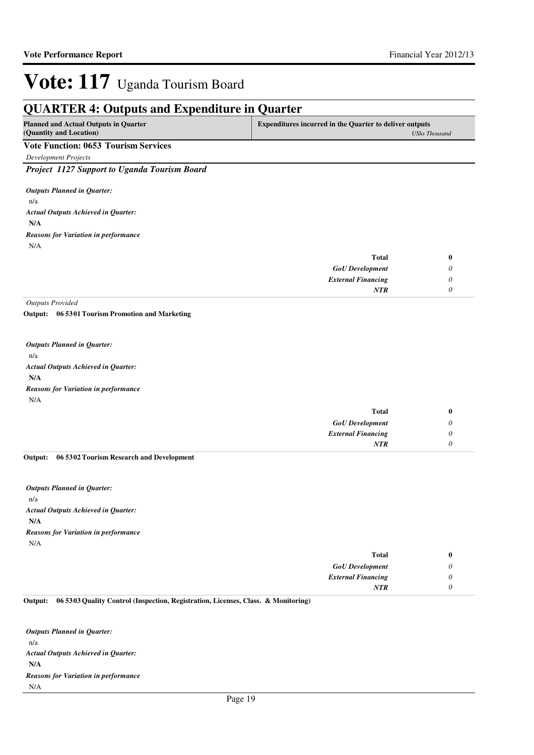#### **QUARTER 4: Outputs and Expenditure in Quarter Planned and Actual Outputs in Quarter (Quantity and Location) Expenditures incurred in the Quarter to deliver outputs**  *UShs Thousand* **Vote Function: 0653 Tourism Services** *Development Projects Project 1127 Support to Uganda Tourism Board* n/a **N/A** *GoU Development External Financing* **Total** *0 0 0* **0** *Actual Outputs Achieved in Quarter: Outputs Planned in Quarter: NTR* N/A *Reasons for Variation in performance Outputs Provided* n/a **06 5301 Tourism Promotion and Marketing Output:** *Outputs Planned in Quarter:*

**N/A** *Actual Outputs Achieved in Quarter:* N/A *Reasons for Variation in performance*

| <b>Total</b>              |  |
|---------------------------|--|
| <b>GoU</b> Development    |  |
| <b>External Financing</b> |  |
| NTR                       |  |

#### **06 5302 Tourism Research and Development Output:**

n/a **N/A** *Actual Outputs Achieved in Quarter: Outputs Planned in Quarter:* N/A *Reasons for Variation in performance*

| <b>Total</b>              | v                         |
|---------------------------|---------------------------|
| <b>GoU</b> Development    | υ                         |
| <b>External Financing</b> | $\boldsymbol{\mathsf{U}}$ |
| <b>NTR</b>                | .,                        |

**06 5303 Quality Control (Inspection, Registration, Licenses, Class. & Monitoring) Output:**

n/a **N/A** *Actual Outputs Achieved in Quarter: Outputs Planned in Quarter:* N/A *Reasons for Variation in performance*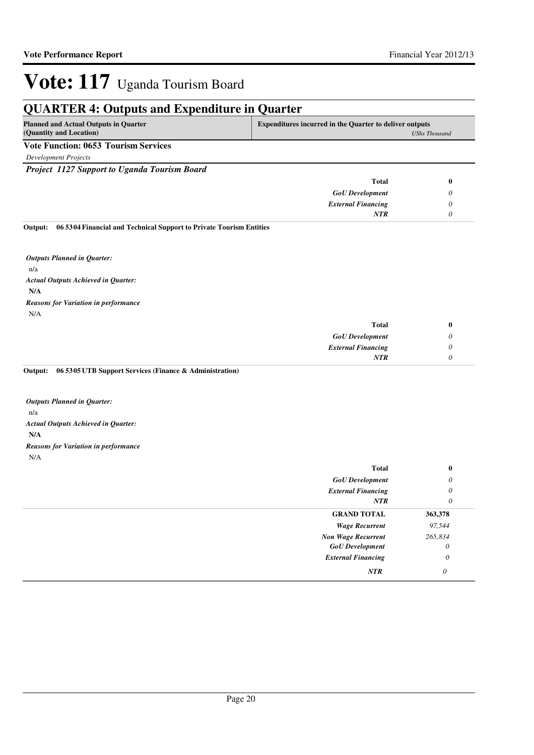## **QUARTER 4: Outputs and Expenditure in Quarter**

| <b>Planned and Actual Outputs in Quarter</b> | <b>Expenditures incurred in the Quarter to deliver outputs</b> |
|----------------------------------------------|----------------------------------------------------------------|
| (Quantity and Location)                      | UShs Thousand                                                  |
| <b>Vote Function: 0653 Tourism Services</b>  |                                                                |
| Development Projects                         |                                                                |

*Project 1127 Support to Uganda Tourism Board*

| <b>Total</b>              |  |
|---------------------------|--|
| <b>GoU</b> Development    |  |
| <b>External Financing</b> |  |
| NTR                       |  |
|                           |  |

**06 5304 Financial and Technical Support to Private Tourism Entities Output:**

n/a **N/A** *Actual Outputs Achieved in Quarter: Outputs Planned in Quarter:* N/A *Reasons for Variation in performance*

| v | <b>Total</b>              |
|---|---------------------------|
| υ | <b>GoU</b> Development    |
| υ | <b>External Financing</b> |
|   | <b>NTR</b>                |
|   |                           |

**06 5305 UTB Support Services (Finance & Administration) Output:**

n/a **N/A** *Actual Outputs Achieved in Quarter: Outputs Planned in Quarter:* N/A *Reasons for Variation in performance*

| Total                     | $\bf{0}$ |
|---------------------------|----------|
| <b>GoU</b> Development    | 0        |
| <b>External Financing</b> | 0        |
| NTR                       | 0        |
| <b>GRAND TOTAL</b>        | 363,378  |
| <b>Wage Recurrent</b>     | 97,544   |
| <b>Non Wage Recurrent</b> | 265,834  |
| <b>GoU</b> Development    | $\theta$ |
| <b>External Financing</b> | 0        |
| <b>NTR</b>                | 0        |